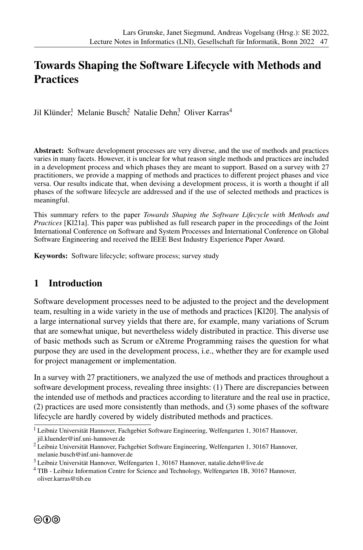# **Towards Shaping the Software Lifecycle with Methods and Practices**

Jil Klünder<sup>!</sup> Melanie Busch? Natalie Dehn? Oliver Karras<sup>4</sup>

**Abstract:** Software development processes are very diverse, and the use of methods and practices varies in many facets. However, it is unclear for what reason single methods and practices are included in a development process and which phases they are meant to support. Based on a survey with 27 practitioners, we provide a mapping of methods and practices to different project phases and vice versa. Our results indicate that, when devising a development process, it is worth a thought if all phases of the software lifecycle are addressed and if the use of selected methods and practices is meaningful.

This summary refers to the paper *Towards Shaping the Software Lifecycle with Methods and Practices* [Kl21a]. This paper was published as full research paper in the proceedings of the Joint International Conference on Software and System Processes and International Conference on Global Software Engineering and received the IEEE Best Industry Experience Paper Award.

**Keywords:** Software lifecycle; software process; survey study

#### **1 Introduction**

Software development processes need to be adjusted to the project and the development team, resulting in a wide variety in the use of methods and practices [Kl20]. The analysis of a large international survey yields that there are, for example, many variations of Scrum that are somewhat unique, but nevertheless widely distributed in practice. This diverse use of basic methods such as Scrum or eXtreme Programming raises the question for what purpose they are used in the development process, i.e., whether they are for example used for project management or implementation.

In a survey with 27 practitioners, we analyzed the use of methods and practices throughout a software development process, revealing three insights: (1) There are discrepancies between the intended use of methods and practices according to literature and the real use in practice, (2) practices are used more consistently than methods, and (3) some phases of the software lifecycle are hardly covered by widely distributed methods and practices.

 $<sup>1</sup>$  Leibniz Universität Hannover, Fachgebiet Software Engineering, Welfengarten 1, 30167 Hannover,</sup> jil.kluender@inf.uni-hannover.de

<sup>2</sup> Leibniz Universität Hannover, Fachgebiet Software Engineering, Welfengarten 1, 30167 Hannover, melanie.busch@inf.uni-hannover.de

<sup>3</sup> Leibniz Universität Hannover, Welfengarten 1, 30167 Hannover, natalie.dehn@live.de

<sup>4</sup> TIB - Leibniz Information Centre for Science and Technology, Welfengarten 1B, 30167 Hannover, oliver.karras@tib.eu